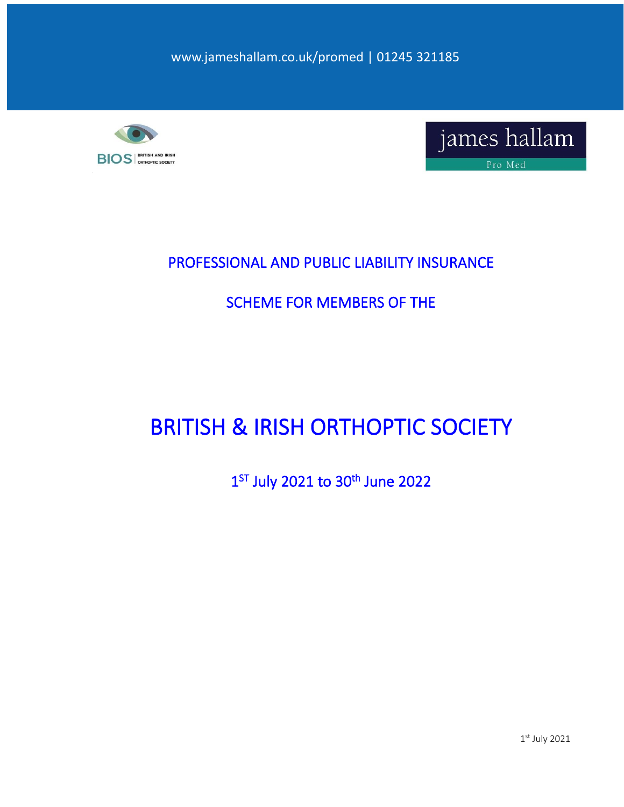www.jameshallam.co.uk/promed | 01245 321185





### PROFESSIONAL AND PUBLIC LIABILITY INSURANCE

## SCHEME FOR MEMBERS OF THE

## BRITISH & IRISH ORTHOPTIC SOCIETY

### 1<sup>ST</sup> July 2021 to 30<sup>th</sup> June 2022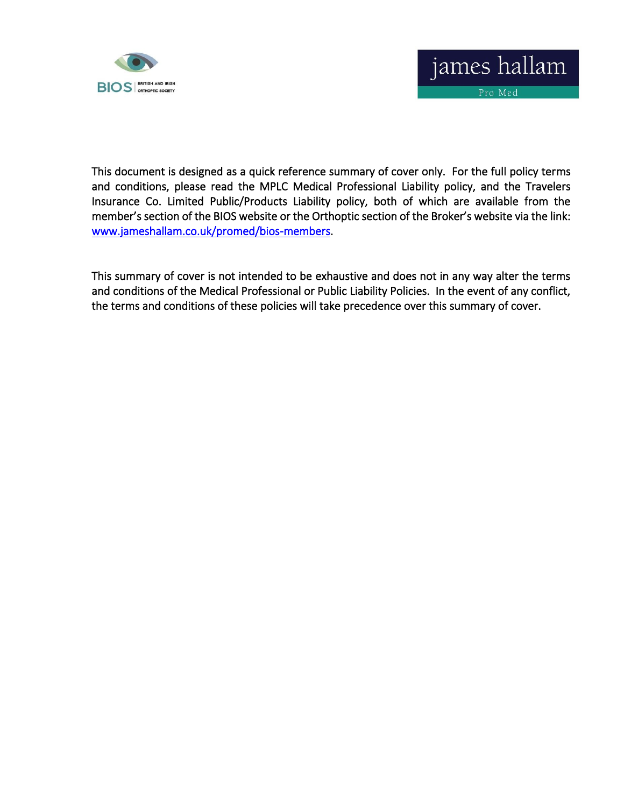

This document is designed as a quick reference summary of cover only. For the full policy terms and conditions, please read the MPLC Medical Professional Liability policy, and the Travelers Insurance Co. Limited Public/Products Liability policy, both of which are available from the member's section of the BIOS website or the Orthoptic section of the Broker's website via the link: [www.jameshallam.co.uk/promed/bios-members.](http://www.jameshallam.co.uk/promed/bios-members)

This summary of cover is not intended to be exhaustive and does not in any way alter the terms and conditions of the Medical Professional or Public Liability Policies. In the event of any conflict, the terms and conditions of these policies will take precedence over this summary of cover.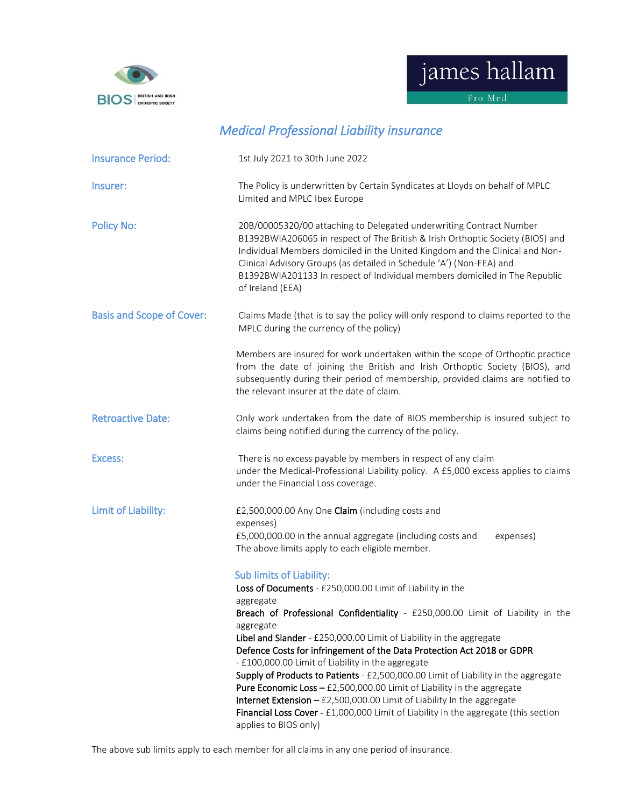

james hallam

Pro Med

| <b>Insurance Period:</b>         | 1st July 2021 to 30th June 2022                                                                                                                                                                                                                                                                                                                                                                                                                                                                                                                                                                                                                                                                     |
|----------------------------------|-----------------------------------------------------------------------------------------------------------------------------------------------------------------------------------------------------------------------------------------------------------------------------------------------------------------------------------------------------------------------------------------------------------------------------------------------------------------------------------------------------------------------------------------------------------------------------------------------------------------------------------------------------------------------------------------------------|
| Insurer:                         | The Policy is underwritten by Certain Syndicates at Lloyds on behalf of MPLC<br>Limited and MPLC Ibex Europe                                                                                                                                                                                                                                                                                                                                                                                                                                                                                                                                                                                        |
| <b>Policy No:</b>                | 20B/00005320/00 attaching to Delegated underwriting Contract Number<br>B1392BWIA206065 in respect of The British & Irish Orthoptic Society (BIOS) and<br>Individual Members domiciled in the United Kingdom and the Clinical and Non-<br>Clinical Advisory Groups (as detailed in Schedule 'A') (Non-EEA) and<br>B1392BWIA201133 In respect of Individual members domiciled in The Republic<br>of Ireland (EEA)                                                                                                                                                                                                                                                                                     |
| <b>Basis and Scope of Cover:</b> | Claims Made (that is to say the policy will only respond to claims reported to the<br>MPLC during the currency of the policy)                                                                                                                                                                                                                                                                                                                                                                                                                                                                                                                                                                       |
|                                  | Members are insured for work undertaken within the scope of Orthoptic practice<br>from the date of joining the British and Irish Orthoptic Society (BIOS), and<br>subsequently during their period of membership, provided claims are notified to<br>the relevant insurer at the date of claim.                                                                                                                                                                                                                                                                                                                                                                                                     |
| <b>Retroactive Date:</b>         | Only work undertaken from the date of BIOS membership is insured subject to<br>claims being notified during the currency of the policy.                                                                                                                                                                                                                                                                                                                                                                                                                                                                                                                                                             |
| Excess:                          | There is no excess payable by members in respect of any claim<br>under the Medical-Professional Liability policy. A £5,000 excess applies to claims<br>under the Financial Loss coverage.                                                                                                                                                                                                                                                                                                                                                                                                                                                                                                           |
| Limit of Liability:              | £2,500,000.00 Any One Claim (including costs and<br>expenses)<br>£5,000,000.00 in the annual aggregate (including costs and<br>expenses)<br>The above limits apply to each eligible member.<br><b>Sub limits of Liability:</b><br>Loss of Documents - £250,000.00 Limit of Liability in the<br>aggregate<br>Breach of Professional Confidentiality - £250,000.00 Limit of Liability in the<br>aggregate<br>Libel and Slander - £250,000.00 Limit of Liability in the aggregate<br>Defence Costs for infringement of the Data Protection Act 2018 or GDPR<br>- £100,000.00 Limit of Liability in the aggregate<br>Supply of Products to Patients - £2,500,000.00 Limit of Liability in the aggregate |
|                                  | <b>Pure Economic Loss - £2,500,000.00 Limit of Liability in the aggregate</b><br>Internet Extension $-$ £2,500,000.00 Limit of Liability In the aggregate<br>Financial Loss Cover - £1,000,000 Limit of Liability in the aggregate (this section<br>applies to BIOS only)                                                                                                                                                                                                                                                                                                                                                                                                                           |

### *Medical Professional Liability insurance*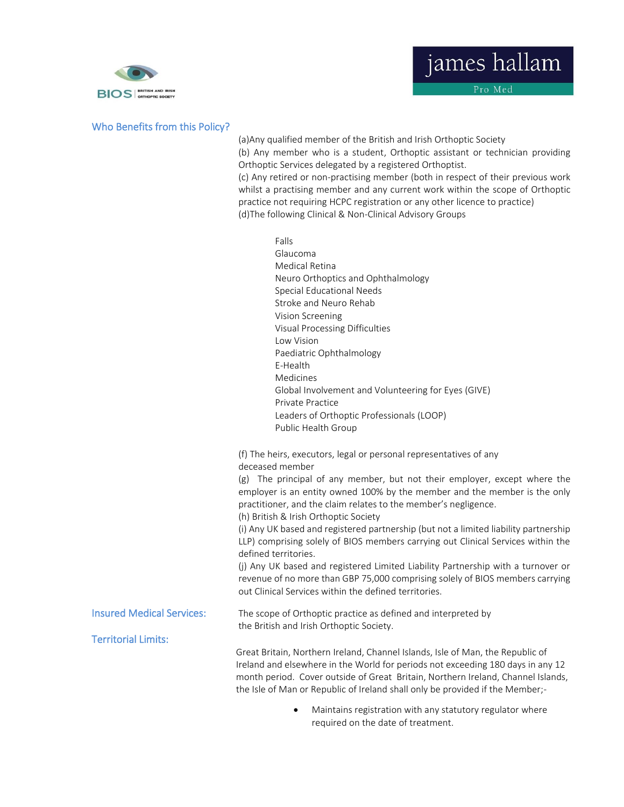

#### Who Benefits from this Policy?

(a)Any qualified member of the British and Irish Orthoptic Society (b) Any member who is a student, Orthoptic assistant or technician providing Orthoptic Services delegated by a registered Orthoptist. (c) Any retired or non-practising member (both in respect of their previous work whilst a practising member and any current work within the scope of Orthoptic practice not requiring HCPC registration or any other licence to practice)

(d)The following Clinical & Non-Clinical Advisory Groups

- Falls Glaucoma Medical Retina Neuro Orthoptics and Ophthalmology Special Educational Needs Stroke and Neuro Rehab Vision Screening Visual Processing Difficulties Low Vision Paediatric Ophthalmology E-Health Medicines Global Involvement and Volunteering for Eyes (GIVE) Private Practice Leaders of Orthoptic Professionals (LOOP) Public Health Group (f) The heirs, executors, legal or personal representatives of any deceased member (g) The principal of any member, but not their employer, except where the employer is an entity owned 100% by the member and the member is the only practitioner, and the claim relates to the member's negligence. (h) British & Irish Orthoptic Society (i) Any UK based and registered partnership (but not a limited liability partnership LLP) comprising solely of BIOS members carrying out Clinical Services within the defined territories. (j) Any UK based and registered Limited Liability Partnership with a turnover or revenue of no more than GBP 75,000 comprising solely of BIOS members carrying out Clinical Services within the defined territories. Insured Medical Services: The scope of Orthoptic practice as defined and interpreted by the British and Irish Orthoptic Society. Territorial Limits: Great Britain, Northern Ireland, Channel Islands, Isle of Man, the Republic of Ireland and elsewhere in the World for periods not exceeding 180 days in any 12 month period. Cover outside of Great Britain, Northern Ireland, Channel Islands, the Isle of Man or Republic of Ireland shall only be provided if the Member;-
	- Maintains registration with any statutory regulator where required on the date of treatment.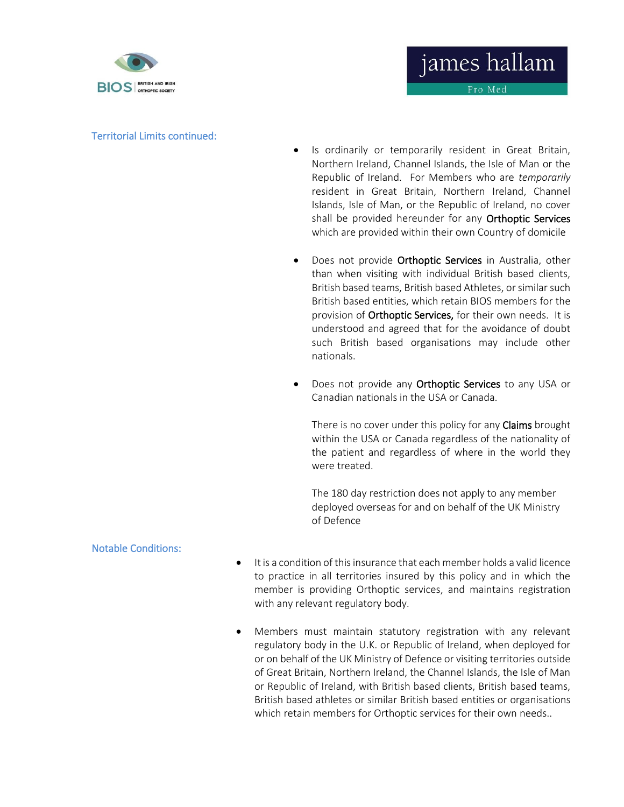

#### Territorial Limits continued:

• Is ordinarily or temporarily resident in Great Britain, Northern Ireland, Channel Islands, the Isle of Man or the Republic of Ireland. For Members who are *temporarily*  resident in Great Britain, Northern Ireland, Channel Islands, Isle of Man, or the Republic of Ireland, no cover shall be provided hereunder for any Orthoptic Services which are provided within their own Country of domicile

james hallam

Pro Med

- Does not provide **Orthoptic Services** in Australia, other than when visiting with individual British based clients, British based teams, British based Athletes, or similar such British based entities, which retain BIOS members for the provision of Orthoptic Services, for their own needs. It is understood and agreed that for the avoidance of doubt such British based organisations may include other nationals.
- Does not provide any **Orthoptic Services** to any USA or Canadian nationals in the USA or Canada.

There is no cover under this policy for any **Claims** brought within the USA or Canada regardless of the nationality of the patient and regardless of where in the world they were treated.

The 180 day restriction does not apply to any member deployed overseas for and on behalf of the UK Ministry of Defence

#### Notable Conditions:

- It is a condition of this insurance that each member holds a valid licence to practice in all territories insured by this policy and in which the member is providing Orthoptic services, and maintains registration with any relevant regulatory body.
- Members must maintain statutory registration with any relevant regulatory body in the U.K. or Republic of Ireland, when deployed for or on behalf of the UK Ministry of Defence or visiting territories outside of Great Britain, Northern Ireland, the Channel Islands, the Isle of Man or Republic of Ireland, with British based clients, British based teams, British based athletes or similar British based entities or organisations which retain members for Orthoptic services for their own needs..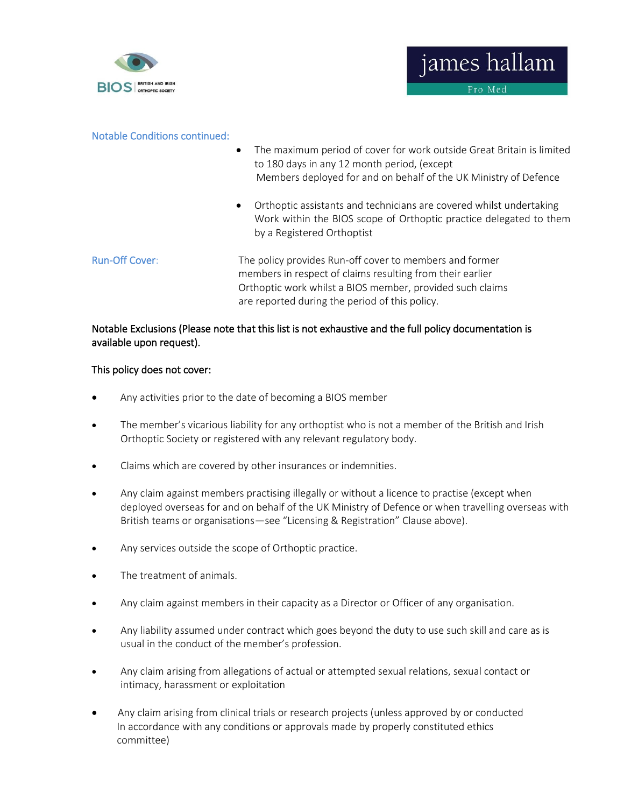

#### Notable Conditions continued:

- The maximum period of cover for work outside Great Britain is limited to 180 days in any 12 month period, (except Members deployed for and on behalf of the UK Ministry of Defence
- Orthoptic assistants and technicians are covered whilst undertaking Work within the BIOS scope of Orthoptic practice delegated to them by a Registered Orthoptist
- Run-Off Cover: The policy provides Run-off cover to members and former members in respect of claims resulting from their earlier Orthoptic work whilst a BIOS member, provided such claims are reported during the period of this policy.

#### Notable Exclusions (Please note that this list is not exhaustive and the full policy documentation is available upon request).

#### This policy does not cover:

- Any activities prior to the date of becoming a BIOS member
- The member's vicarious liability for any orthoptist who is not a member of the British and Irish Orthoptic Society or registered with any relevant regulatory body.
- Claims which are covered by other insurances or indemnities.
- Any claim against members practising illegally or without a licence to practise (except when deployed overseas for and on behalf of the UK Ministry of Defence or when travelling overseas with British teams or organisations—see "Licensing & Registration" Clause above).
- Any services outside the scope of Orthoptic practice.
- The treatment of animals.
- Any claim against members in their capacity as a Director or Officer of any organisation.
- Any liability assumed under contract which goes beyond the duty to use such skill and care as is usual in the conduct of the member's profession.
- Any claim arising from allegations of actual or attempted sexual relations, sexual contact or intimacy, harassment or exploitation
- Any claim arising from clinical trials or research projects (unless approved by or conducted In accordance with any conditions or approvals made by properly constituted ethics committee)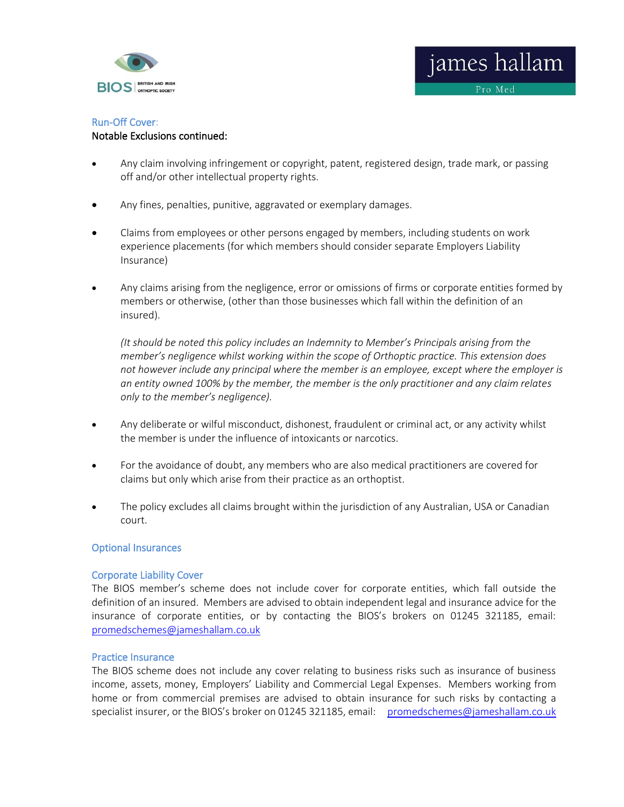

#### Run-Off Cover: Notable Exclusions continued:

- Any claim involving infringement or copyright, patent, registered design, trade mark, or passing off and/or other intellectual property rights.
- Any fines, penalties, punitive, aggravated or exemplary damages.
- Claims from employees or other persons engaged by members, including students on work experience placements (for which members should consider separate Employers Liability Insurance)
- Any claims arising from the negligence, error or omissions of firms or corporate entities formed by members or otherwise, (other than those businesses which fall within the definition of an insured).

*(It should be noted this policy includes an Indemnity to Member's Principals arising from the member's negligence whilst working within the scope of Orthoptic practice. This extension does not however include any principal where the member is an employee, except where the employer is an entity owned 100% by the member, the member is the only practitioner and any claim relates only to the member's negligence).*

- Any deliberate or wilful misconduct, dishonest, fraudulent or criminal act, or any activity whilst the member is under the influence of intoxicants or narcotics.
- For the avoidance of doubt, any members who are also medical practitioners are covered for claims but only which arise from their practice as an orthoptist.
- The policy excludes all claims brought within the jurisdiction of any Australian, USA or Canadian court.

#### Optional Insurances

#### Corporate Liability Cover

The BIOS member's scheme does not include cover for corporate entities, which fall outside the definition of an insured. Members are advised to obtain independent legal and insurance advice for the insurance of corporate entities, or by contacting the BIOS's brokers on 01245 321185, email: [promedschemes@jameshallam.co.uk](mailto:promedschemes@jameshallam.co.uk) 

#### Practice Insurance

The BIOS scheme does not include any cover relating to business risks such as insurance of business income, assets, money, Employers' Liability and Commercial Legal Expenses. Members working from home or from commercial premises are advised to obtain insurance for such risks by contacting a specialist insurer, or the BIOS's broker on 01245 321185, email: [promedschemes@jameshallam.co.uk](mailto:promedschemes@jameshallam.co.uk)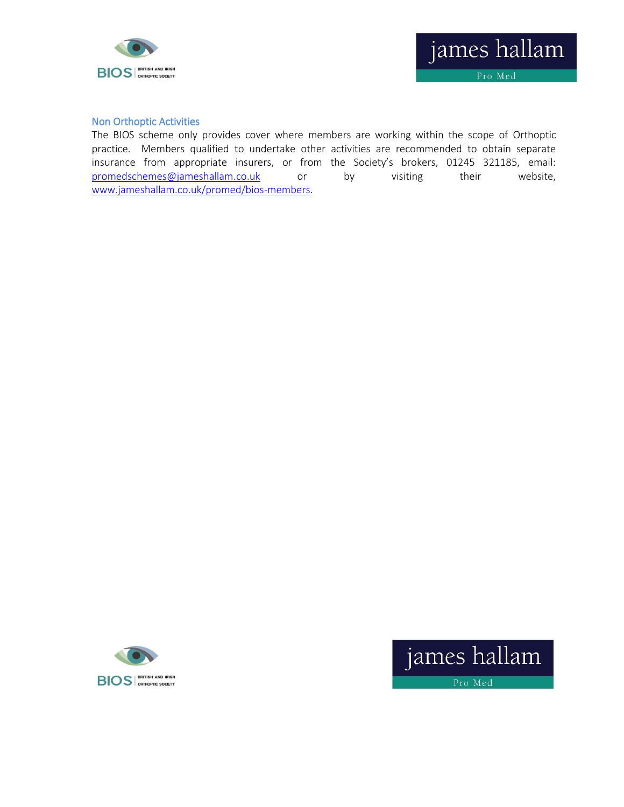

#### Non Orthoptic Activities

The BIOS scheme only provides cover where members are working within the scope of Orthoptic practice. Members qualified to undertake other activities are recommended to obtain separate insurance from appropriate insurers, or from the Society's brokers, 01245 321185, email: [promedschemes@jameshallam.co.uk](mailto:promedschemes@jameshallam.co.uk) or by visiting their website, [www.jameshallam.co.uk/promed/bios-members.](http://www.jameshallam.co.uk/promed/bios-members)



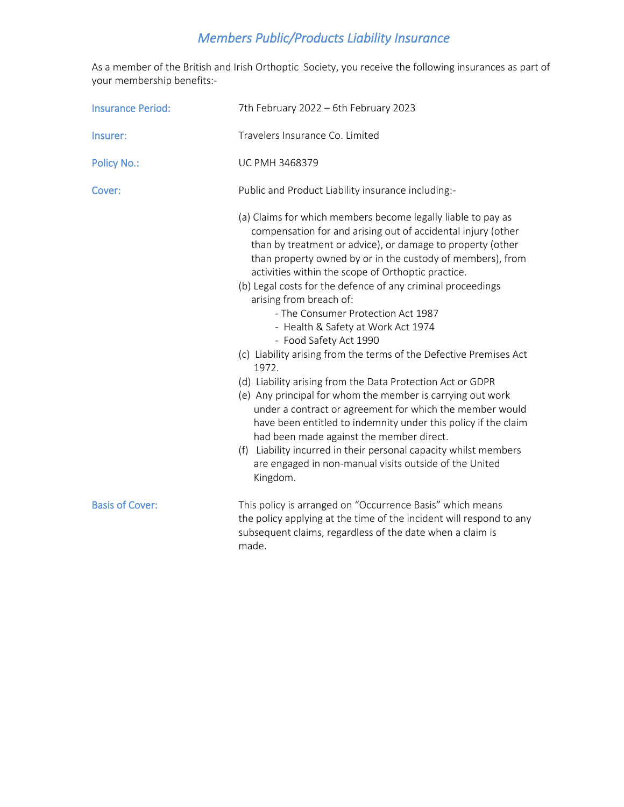### *Members Public/Products Liability Insurance*

As a member of the British and Irish Orthoptic Society, you receive the following insurances as part of your membership benefits:-

| <b>Insurance Period:</b> | 7th February 2022 - 6th February 2023                                                                                                                                                                                                                                                                                                                                                                                                                                                                                                                                                                                                                                                                                                                                                                                                                                                                                                                                                                                                         |
|--------------------------|-----------------------------------------------------------------------------------------------------------------------------------------------------------------------------------------------------------------------------------------------------------------------------------------------------------------------------------------------------------------------------------------------------------------------------------------------------------------------------------------------------------------------------------------------------------------------------------------------------------------------------------------------------------------------------------------------------------------------------------------------------------------------------------------------------------------------------------------------------------------------------------------------------------------------------------------------------------------------------------------------------------------------------------------------|
| Insurer:                 | Travelers Insurance Co. Limited                                                                                                                                                                                                                                                                                                                                                                                                                                                                                                                                                                                                                                                                                                                                                                                                                                                                                                                                                                                                               |
| <b>Policy No.:</b>       | <b>UC PMH 3468379</b>                                                                                                                                                                                                                                                                                                                                                                                                                                                                                                                                                                                                                                                                                                                                                                                                                                                                                                                                                                                                                         |
| Cover:                   | Public and Product Liability insurance including:-                                                                                                                                                                                                                                                                                                                                                                                                                                                                                                                                                                                                                                                                                                                                                                                                                                                                                                                                                                                            |
|                          | (a) Claims for which members become legally liable to pay as<br>compensation for and arising out of accidental injury (other<br>than by treatment or advice), or damage to property (other<br>than property owned by or in the custody of members), from<br>activities within the scope of Orthoptic practice.<br>(b) Legal costs for the defence of any criminal proceedings<br>arising from breach of:<br>- The Consumer Protection Act 1987<br>- Health & Safety at Work Act 1974<br>- Food Safety Act 1990<br>(c) Liability arising from the terms of the Defective Premises Act<br>1972.<br>(d) Liability arising from the Data Protection Act or GDPR<br>(e) Any principal for whom the member is carrying out work<br>under a contract or agreement for which the member would<br>have been entitled to indemnity under this policy if the claim<br>had been made against the member direct.<br>(f) Liability incurred in their personal capacity whilst members<br>are engaged in non-manual visits outside of the United<br>Kingdom. |
| <b>Basis of Cover:</b>   | This policy is arranged on "Occurrence Basis" which means<br>the policy applying at the time of the incident will respond to any<br>subsequent claims, regardless of the date when a claim is<br>made.                                                                                                                                                                                                                                                                                                                                                                                                                                                                                                                                                                                                                                                                                                                                                                                                                                        |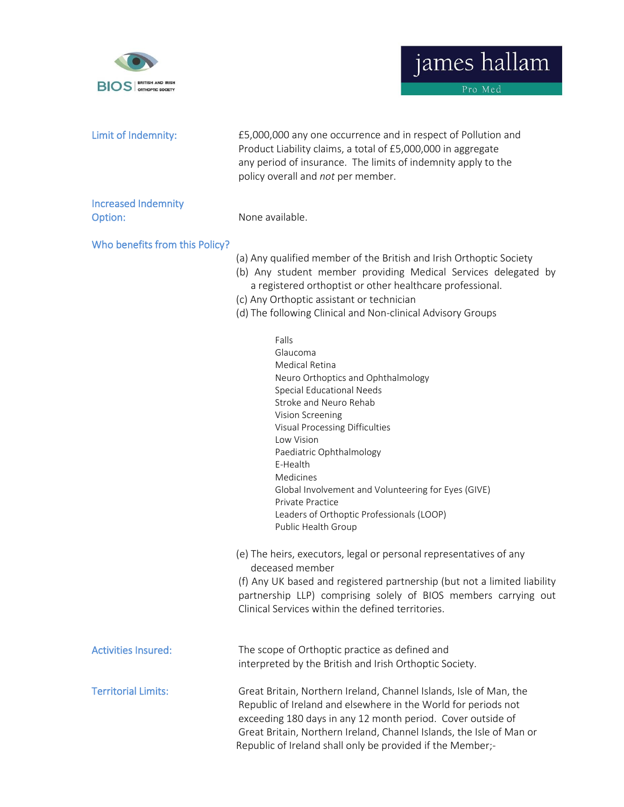



| Limit of Indemnity:                   | £5,000,000 any one occurrence and in respect of Pollution and<br>Product Liability claims, a total of £5,000,000 in aggregate<br>any period of insurance. The limits of indemnity apply to the<br>policy overall and not per member.                                                                                                                                                                                          |
|---------------------------------------|-------------------------------------------------------------------------------------------------------------------------------------------------------------------------------------------------------------------------------------------------------------------------------------------------------------------------------------------------------------------------------------------------------------------------------|
| <b>Increased Indemnity</b><br>Option: | None available.                                                                                                                                                                                                                                                                                                                                                                                                               |
| Who benefits from this Policy?        | (a) Any qualified member of the British and Irish Orthoptic Society<br>(b) Any student member providing Medical Services delegated by<br>a registered orthoptist or other healthcare professional.<br>(c) Any Orthoptic assistant or technician<br>(d) The following Clinical and Non-clinical Advisory Groups                                                                                                                |
|                                       | Falls<br>Glaucoma<br><b>Medical Retina</b><br>Neuro Orthoptics and Ophthalmology<br><b>Special Educational Needs</b><br>Stroke and Neuro Rehab<br>Vision Screening<br>Visual Processing Difficulties<br>Low Vision<br>Paediatric Ophthalmology<br>E-Health<br>Medicines<br>Global Involvement and Volunteering for Eyes (GIVE)<br><b>Private Practice</b><br>Leaders of Orthoptic Professionals (LOOP)<br>Public Health Group |
|                                       | (e) The heirs, executors, legal or personal representatives of any<br>deceased member<br>(f) Any UK based and registered partnership (but not a limited liability<br>partnership LLP) comprising solely of BIOS members carrying out<br>Clinical Services within the defined territories.                                                                                                                                     |
| <b>Activities Insured:</b>            | The scope of Orthoptic practice as defined and<br>interpreted by the British and Irish Orthoptic Society.                                                                                                                                                                                                                                                                                                                     |
| <b>Territorial Limits:</b>            | Great Britain, Northern Ireland, Channel Islands, Isle of Man, the<br>Republic of Ireland and elsewhere in the World for periods not<br>exceeding 180 days in any 12 month period. Cover outside of<br>Great Britain, Northern Ireland, Channel Islands, the Isle of Man or<br>Republic of Ireland shall only be provided if the Member;-                                                                                     |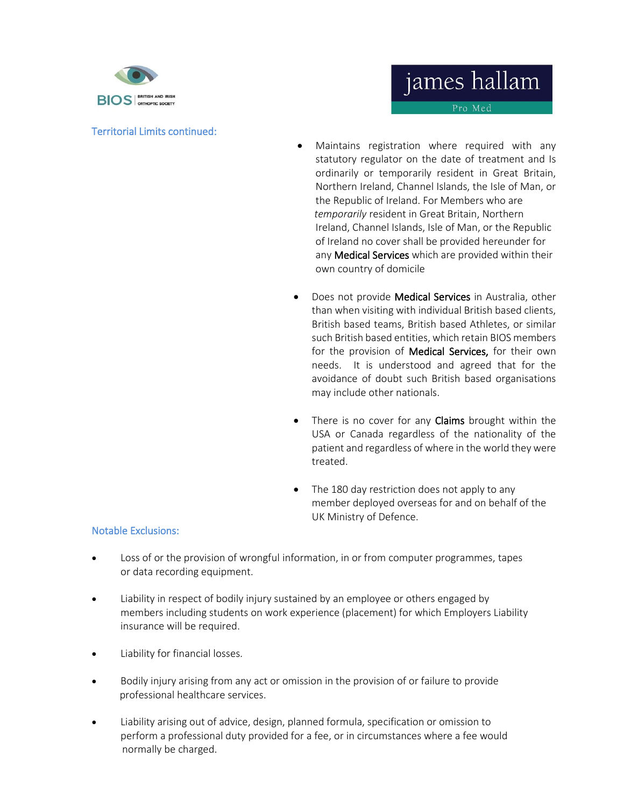

#### Territorial Limits continued:

Pro Med

- Maintains registration where required with any statutory regulator on the date of treatment and Is ordinarily or temporarily resident in Great Britain, Northern Ireland, Channel Islands, the Isle of Man, or the Republic of Ireland. For Members who are *temporarily* resident in Great Britain, Northern Ireland, Channel Islands, Isle of Man, or the Republic of Ireland no cover shall be provided hereunder for any **Medical Services** which are provided within their own country of domicile
- Does not provide Medical Services in Australia, other than when visiting with individual British based clients, British based teams, British based Athletes, or similar such British based entities, which retain BIOS members for the provision of **Medical Services**, for their own needs. It is understood and agreed that for the avoidance of doubt such British based organisations may include other nationals.
- There is no cover for any Claims brought within the USA or Canada regardless of the nationality of the patient and regardless of where in the world they were treated.
- The 180 day restriction does not apply to any member deployed overseas for and on behalf of the UK Ministry of Defence.

#### Notable Exclusions:

- Loss of or the provision of wrongful information, in or from computer programmes, tapes or data recording equipment.
- Liability in respect of bodily injury sustained by an employee or others engaged by members including students on work experience (placement) for which Employers Liability insurance will be required.
- Liability for financial losses.
- Bodily injury arising from any act or omission in the provision of or failure to provide professional healthcare services.
- Liability arising out of advice, design, planned formula, specification or omission to perform a professional duty provided for a fee, or in circumstances where a fee would normally be charged.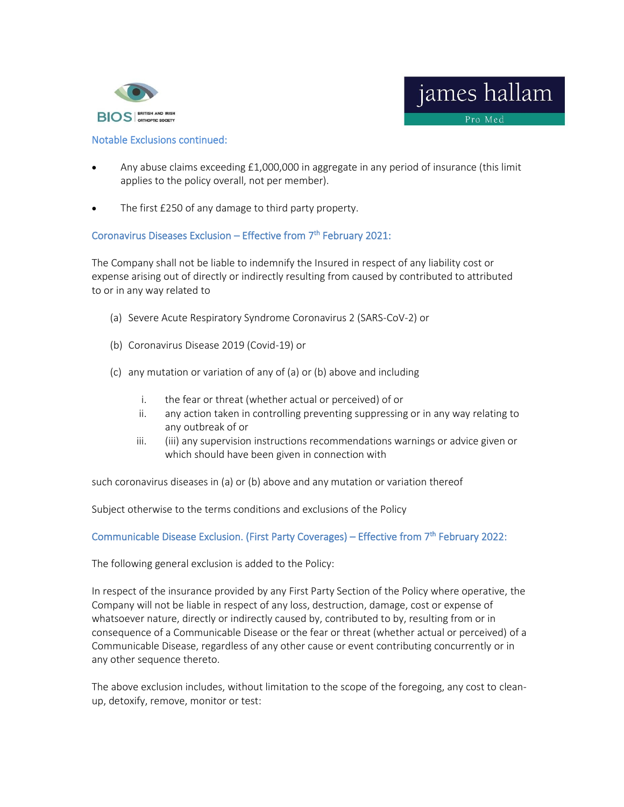



#### Notable Exclusions continued:

- Any abuse claims exceeding £1,000,000 in aggregate in any period of insurance (this limit applies to the policy overall, not per member).
- The first £250 of any damage to third party property.

#### Coronavirus Diseases Exclusion – Effective from 7<sup>th</sup> February 2021:

The Company shall not be liable to indemnify the Insured in respect of any liability cost or expense arising out of directly or indirectly resulting from caused by contributed to attributed to or in any way related to

- (a) Severe Acute Respiratory Syndrome Coronavirus 2 (SARS-CoV-2) or
- (b) Coronavirus Disease 2019 (Covid-19) or
- (c) any mutation or variation of any of (a) or (b) above and including
	- i. the fear or threat (whether actual or perceived) of or
	- ii. any action taken in controlling preventing suppressing or in any way relating to any outbreak of or
	- iii. (iii) any supervision instructions recommendations warnings or advice given or which should have been given in connection with

such coronavirus diseases in (a) or (b) above and any mutation or variation thereof

Subject otherwise to the terms conditions and exclusions of the Policy

#### Communicable Disease Exclusion. (First Party Coverages) – Effective from 7<sup>th</sup> February 2022:

The following general exclusion is added to the Policy:

In respect of the insurance provided by any First Party Section of the Policy where operative, the Company will not be liable in respect of any loss, destruction, damage, cost or expense of whatsoever nature, directly or indirectly caused by, contributed to by, resulting from or in consequence of a Communicable Disease or the fear or threat (whether actual or perceived) of a Communicable Disease, regardless of any other cause or event contributing concurrently or in any other sequence thereto.

The above exclusion includes, without limitation to the scope of the foregoing, any cost to cleanup, detoxify, remove, monitor or test: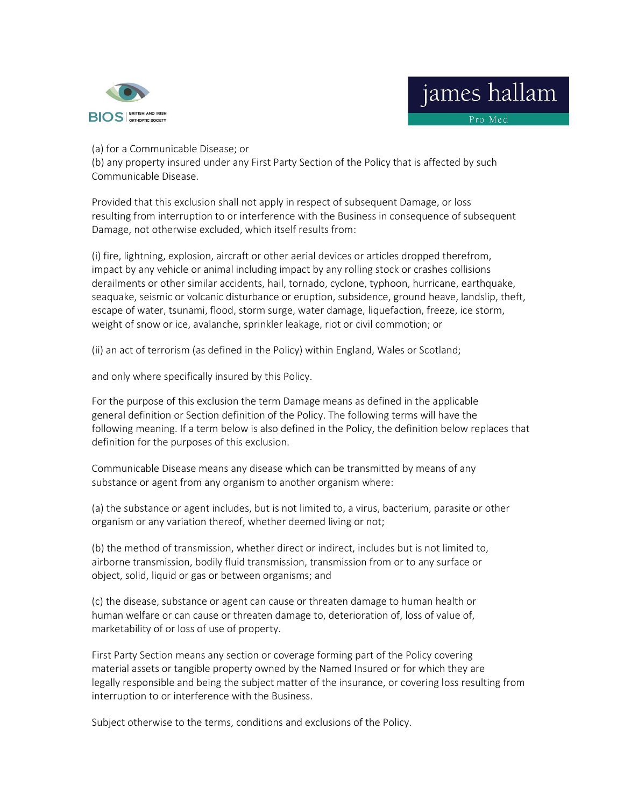

# james hallam

Pro Med

(a) for a Communicable Disease; or

(b) any property insured under any First Party Section of the Policy that is affected by such Communicable Disease.

Provided that this exclusion shall not apply in respect of subsequent Damage, or loss resulting from interruption to or interference with the Business in consequence of subsequent Damage, not otherwise excluded, which itself results from:

(i) fire, lightning, explosion, aircraft or other aerial devices or articles dropped therefrom, impact by any vehicle or animal including impact by any rolling stock or crashes collisions derailments or other similar accidents, hail, tornado, cyclone, typhoon, hurricane, earthquake, seaquake, seismic or volcanic disturbance or eruption, subsidence, ground heave, landslip, theft, escape of water, tsunami, flood, storm surge, water damage, liquefaction, freeze, ice storm, weight of snow or ice, avalanche, sprinkler leakage, riot or civil commotion; or

(ii) an act of terrorism (as defined in the Policy) within England, Wales or Scotland;

and only where specifically insured by this Policy.

For the purpose of this exclusion the term Damage means as defined in the applicable general definition or Section definition of the Policy. The following terms will have the following meaning. If a term below is also defined in the Policy, the definition below replaces that definition for the purposes of this exclusion.

Communicable Disease means any disease which can be transmitted by means of any substance or agent from any organism to another organism where:

(a) the substance or agent includes, but is not limited to, a virus, bacterium, parasite or other organism or any variation thereof, whether deemed living or not;

(b) the method of transmission, whether direct or indirect, includes but is not limited to, airborne transmission, bodily fluid transmission, transmission from or to any surface or object, solid, liquid or gas or between organisms; and

(c) the disease, substance or agent can cause or threaten damage to human health or human welfare or can cause or threaten damage to, deterioration of, loss of value of, marketability of or loss of use of property.

First Party Section means any section or coverage forming part of the Policy covering material assets or tangible property owned by the Named Insured or for which they are legally responsible and being the subject matter of the insurance, or covering loss resulting from interruption to or interference with the Business.

Subject otherwise to the terms, conditions and exclusions of the Policy.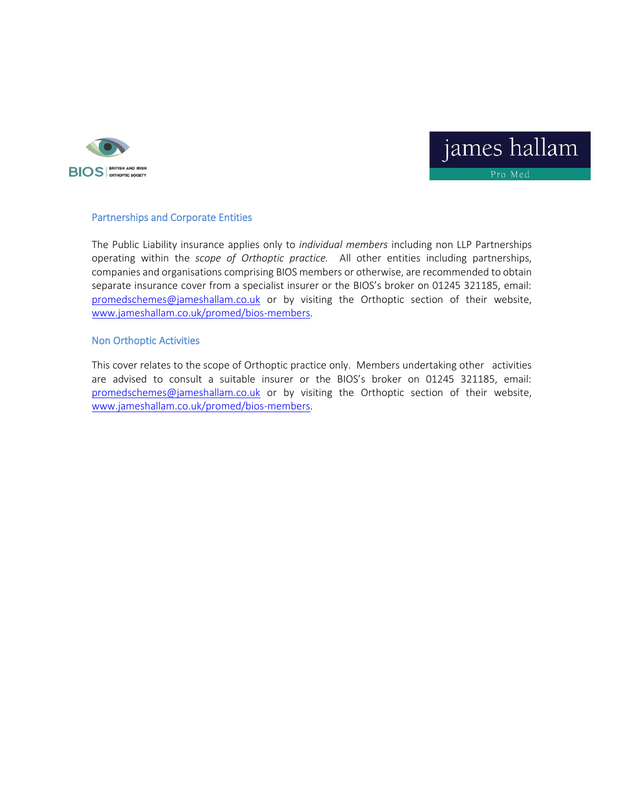



#### Partnerships and Corporate Entities

The Public Liability insurance applies only to *individual members* including non LLP Partnerships operating within the *scope of Orthoptic practice.* All other entities including partnerships, companies and organisations comprising BIOS members or otherwise, are recommended to obtain separate insurance cover from a specialist insurer or the BIOS's broker on 01245 321185, email: [promedschemes@jameshallam.co.uk](mailto:promedschemes@jameshallam.co.uk) or by visiting the Orthoptic section of their website, [www.jameshallam.co.uk/promed/bios-members.](http://www.jameshallam.co.uk/promed/bios-members)

#### Non Orthoptic Activities

This cover relates to the scope of Orthoptic practice only. Members undertaking other activities are advised to consult a suitable insurer or the BIOS's broker on 01245 321185, email: [promedschemes@jameshallam.co.uk](mailto:promedschemes@jameshallam.co.uk) or by visiting the Orthoptic section of their website, [www.jameshallam.co.uk/promed/bios-members.](http://www.jameshallam.co.uk/promed/bios-members)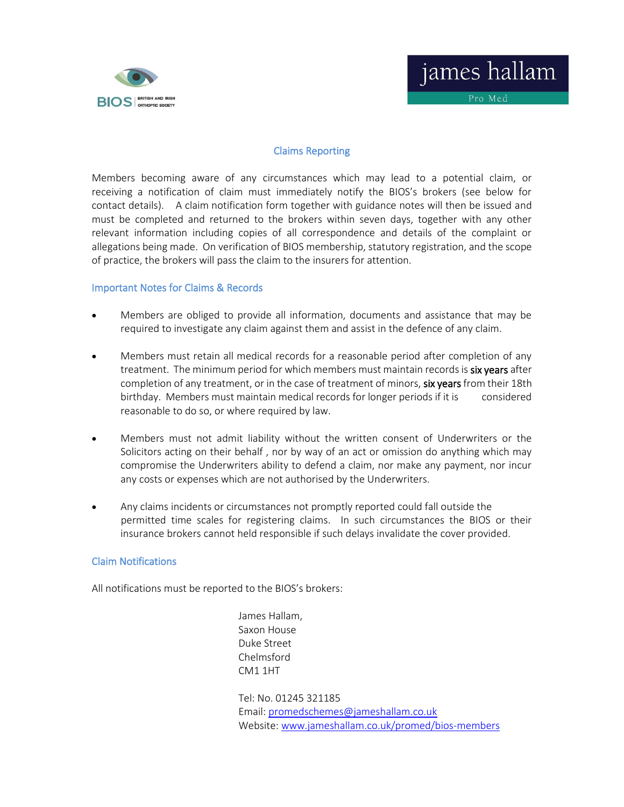



Pro Med

#### Claims Reporting

Members becoming aware of any circumstances which may lead to a potential claim, or receiving a notification of claim must immediately notify the BIOS's brokers (see below for contact details). A claim notification form together with guidance notes will then be issued and must be completed and returned to the brokers within seven days, together with any other relevant information including copies of all correspondence and details of the complaint or allegations being made. On verification of BIOS membership, statutory registration, and the scope of practice, the brokers will pass the claim to the insurers for attention.

#### Important Notes for Claims & Records

- Members are obliged to provide all information, documents and assistance that may be required to investigate any claim against them and assist in the defence of any claim.
- Members must retain all medical records for a reasonable period after completion of any treatment. The minimum period for which members must maintain records is six years after completion of any treatment, or in the case of treatment of minors, six years from their 18th birthday. Members must maintain medical records for longer periods if it is considered reasonable to do so, or where required by law.
- Members must not admit liability without the written consent of Underwriters or the Solicitors acting on their behalf , nor by way of an act or omission do anything which may compromise the Underwriters ability to defend a claim, nor make any payment, nor incur any costs or expenses which are not authorised by the Underwriters.
- Any claims incidents or circumstances not promptly reported could fall outside the permitted time scales for registering claims. In such circumstances the BIOS or their insurance brokers cannot held responsible if such delays invalidate the cover provided.

#### Claim Notifications

All notifications must be reported to the BIOS's brokers:

 James Hallam, Saxon House Duke Street Chelmsford CM1 1HT

 Tel: No. 01245 321185 Email[: promedschemes@jameshallam.co.uk](mailto:promedschemes@jameshallam.co.uk) Website: [www.jameshallam.co.uk/promed/bios-members](http://www.jameshallam.co.uk/promed/bios-members)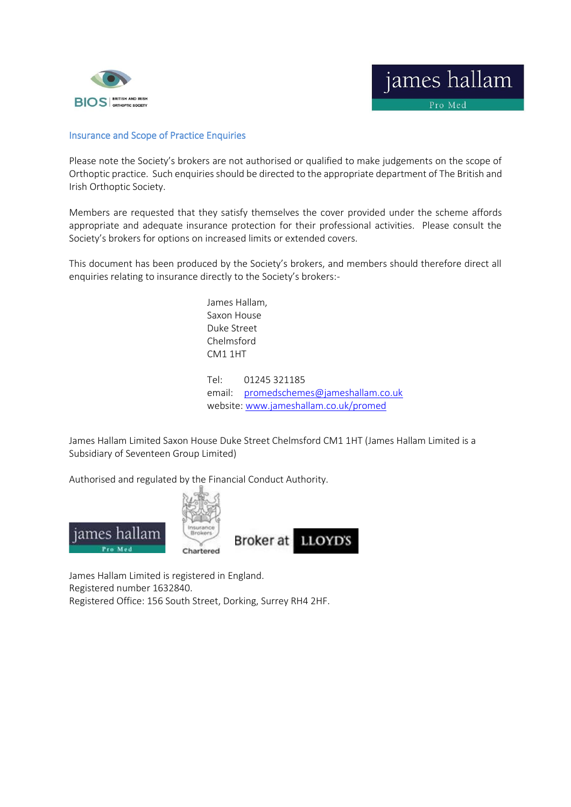



Pro Med

#### Insurance and Scope of Practice Enquiries

Please note the Society's brokers are not authorised or qualified to make judgements on the scope of Orthoptic practice. Such enquiries should be directed to the appropriate department of The British and Irish Orthoptic Society.

Members are requested that they satisfy themselves the cover provided under the scheme affords appropriate and adequate insurance protection for their professional activities. Please consult the Society's brokers for options on increased limits or extended covers.

This document has been produced by the Society's brokers, and members should therefore direct all enquiries relating to insurance directly to the Society's brokers:-

> James Hallam, Saxon House Duke Street Chelmsford CM1 1HT Tel: 01245 321185 email: [promedschemes@jameshallam.co.uk](mailto:promedschemes@jameshallam.co.uk) website: [www.jameshallam.co.uk/promed](http://www.jameshallam.co.uk/promed)

James Hallam Limited Saxon House Duke Street Chelmsford CM1 1HT (James Hallam Limited is a Subsidiary of Seventeen Group Limited)

Authorised and regulated by the Financial Conduct Authority.



James Hallam Limited is registered in England. Registered number 1632840. Registered Office: 156 South Street, Dorking, Surrey RH4 2HF.